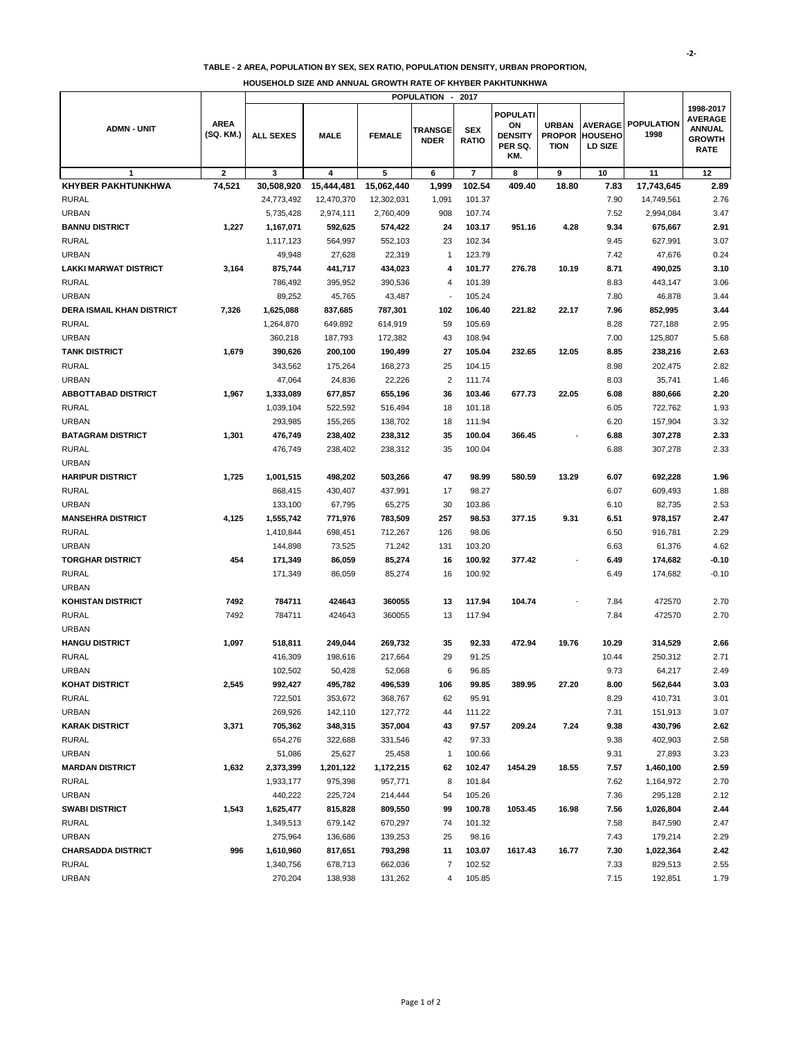## **TABLE - 2 AREA, POPULATION BY SEX, SEX RATIO, POPULATION DENSITY, URBAN PROPORTION,**

|                                  |                          | <b>POPULATION</b><br>2017<br>$\overline{\phantom{a}}$ |             |               |                               |                            |                                                    |                                              |                                                    |                           |                                                                              |
|----------------------------------|--------------------------|-------------------------------------------------------|-------------|---------------|-------------------------------|----------------------------|----------------------------------------------------|----------------------------------------------|----------------------------------------------------|---------------------------|------------------------------------------------------------------------------|
| <b>ADMN - UNIT</b>               | <b>AREA</b><br>(SQ. KM.) | <b>ALL SEXES</b>                                      | <b>MALE</b> | <b>FEMALE</b> | <b>TRANSGE</b><br><b>NDER</b> | <b>SEX</b><br><b>RATIO</b> | POPULATI<br>ON<br><b>DENSITY</b><br>PER SQ.<br>KM. | <b>URBAN</b><br><b>PROPOR</b><br><b>TION</b> | <b>AVERAGE</b><br><b>HOUSEHO</b><br><b>LD SIZE</b> | <b>POPULATION</b><br>1998 | 1998-2017<br><b>AVERAGE</b><br><b>ANNUAL</b><br><b>GROWTH</b><br><b>RATE</b> |
| 1                                | $\overline{\mathbf{2}}$  | 3                                                     | 4           | 5             | 6                             | $\overline{7}$             | 8                                                  | 9                                            | 10                                                 | 11                        | 12                                                                           |
| <b>KHYBER PAKHTUNKHWA</b>        | 74,521                   | 30,508,920                                            | 15,444,481  | 15,062,440    | 1,999                         | 102.54                     | 409.40                                             | 18.80                                        | 7.83                                               | 17,743,645                | 2.89                                                                         |
| <b>RURAL</b>                     |                          | 24,773,492                                            | 12,470,370  | 12,302,031    | 1,091                         | 101.37                     |                                                    |                                              | 7.90                                               | 14,749,561                | 2.76                                                                         |
| <b>URBAN</b>                     |                          | 5,735,428                                             | 2,974,111   | 2,760,409     | 908                           | 107.74                     |                                                    |                                              | 7.52                                               | 2,994,084                 | 3.47                                                                         |
| <b>BANNU DISTRICT</b>            | 1,227                    | 1,167,071                                             | 592,625     | 574,422       | 24                            | 103.17                     | 951.16                                             | 4.28                                         | 9.34                                               | 675,667                   | 2.91                                                                         |
| <b>RURAL</b>                     |                          | 1,117,123                                             | 564,997     | 552,103       | 23                            | 102.34                     |                                                    |                                              | 9.45                                               | 627,991                   | 3.07                                                                         |
| <b>URBAN</b>                     |                          | 49,948                                                | 27,628      | 22,319        | $\mathbf{1}$                  | 123.79                     |                                                    |                                              | 7.42                                               | 47,676                    | 0.24                                                                         |
| <b>LAKKI MARWAT DISTRICT</b>     | 3,164                    | 875,744                                               | 441,717     | 434,023       | 4                             | 101.77                     | 276.78                                             | 10.19                                        | 8.71                                               | 490,025                   | 3.10                                                                         |
| <b>RURAL</b>                     |                          | 786,492                                               | 395,952     | 390,536       | 4                             | 101.39                     |                                                    |                                              | 8.83                                               | 443,147                   | 3.06                                                                         |
| <b>URBAN</b>                     |                          | 89,252                                                | 45,765      | 43,487        | $\overline{\phantom{a}}$      | 105.24                     |                                                    |                                              | 7.80                                               | 46,878                    | 3.44                                                                         |
| <b>DERA ISMAIL KHAN DISTRICT</b> | 7,326                    | 1,625,088                                             | 837,685     | 787,301       | 102                           | 106.40                     | 221.82                                             | 22.17                                        | 7.96                                               | 852,995                   | 3.44                                                                         |
| <b>RURAL</b>                     |                          | 1,264,870                                             | 649,892     | 614,919       | 59                            | 105.69                     |                                                    |                                              | 8.28                                               | 727,188                   | 2.95                                                                         |
| <b>URBAN</b>                     |                          | 360,218                                               | 187,793     | 172,382       | 43                            | 108.94                     |                                                    |                                              | 7.00                                               | 125,807                   | 5.68                                                                         |
| <b>TANK DISTRICT</b>             | 1,679                    | 390,626                                               | 200,100     | 190,499       | 27                            | 105.04                     | 232.65                                             | 12.05                                        | 8.85                                               | 238,216                   | 2.63                                                                         |
| <b>RURAL</b>                     |                          | 343,562                                               | 175,264     | 168,273       | 25                            | 104.15                     |                                                    |                                              | 8.98                                               | 202,475                   | 2.82                                                                         |
| <b>URBAN</b>                     |                          | 47,064                                                | 24,836      | 22,226        | $\overline{2}$                | 111.74                     |                                                    |                                              | 8.03                                               | 35,741                    | 1.46                                                                         |
| <b>ABBOTTABAD DISTRICT</b>       | 1,967                    | 1,333,089                                             | 677,857     | 655,196       | 36                            | 103.46                     | 677.73                                             | 22.05                                        | 6.08                                               | 880,666                   | 2.20                                                                         |
| <b>RURAL</b>                     |                          | 1,039,104                                             | 522,592     | 516,494       | 18                            | 101.18                     |                                                    |                                              | 6.05                                               | 722,762                   | 1.93                                                                         |
| <b>URBAN</b>                     |                          | 293,985                                               | 155,265     | 138,702       | 18                            | 111.94                     |                                                    |                                              | 6.20                                               | 157,904                   | 3.32                                                                         |
| <b>BATAGRAM DISTRICT</b>         | 1,301                    | 476,749                                               | 238,402     | 238,312       | 35                            | 100.04                     | 366.45                                             |                                              | 6.88                                               | 307,278                   | 2.33                                                                         |
| <b>RURAL</b>                     |                          | 476,749                                               | 238,402     | 238,312       | 35                            | 100.04                     |                                                    |                                              | 6.88                                               | 307,278                   | 2.33                                                                         |
| <b>URBAN</b>                     |                          |                                                       |             |               |                               |                            |                                                    |                                              |                                                    |                           |                                                                              |
| <b>HARIPUR DISTRICT</b>          | 1,725                    | 1,001,515                                             | 498,202     | 503,266       | 47                            | 98.99                      | 580.59                                             | 13.29                                        | 6.07                                               | 692,228                   | 1.96                                                                         |
| <b>RURAL</b>                     |                          | 868,415                                               | 430,407     | 437,991       | 17                            | 98.27                      |                                                    |                                              | 6.07                                               | 609,493                   | 1.88                                                                         |
| <b>URBAN</b>                     |                          | 133,100                                               | 67,795      | 65,275        | 30                            | 103.86                     |                                                    |                                              | 6.10                                               | 82,735                    | 2.53                                                                         |
| <b>MANSEHRA DISTRICT</b>         | 4,125                    | 1,555,742                                             | 771,976     | 783,509       | 257                           | 98.53                      | 377.15                                             | 9.31                                         | 6.51                                               | 978,157                   | 2.47                                                                         |
| <b>RURAL</b>                     |                          | 1,410,844                                             | 698,451     | 712,267       | 126                           | 98.06                      |                                                    |                                              | 6.50                                               | 916,781                   | 2.29                                                                         |
| <b>URBAN</b>                     |                          | 144,898                                               | 73,525      | 71,242        | 131                           | 103.20                     |                                                    |                                              | 6.63                                               | 61,376                    | 4.62                                                                         |
| <b>TORGHAR DISTRICT</b>          | 454                      | 171,349                                               | 86,059      | 85,274        | 16                            | 100.92                     | 377.42                                             |                                              | 6.49                                               | 174,682                   | -0.10                                                                        |
| <b>RURAL</b>                     |                          | 171,349                                               | 86,059      | 85,274        | 16                            | 100.92                     |                                                    |                                              | 6.49                                               | 174,682                   | $-0.10$                                                                      |
| <b>URBAN</b>                     |                          |                                                       |             |               |                               |                            |                                                    |                                              |                                                    |                           |                                                                              |
| <b>KOHISTAN DISTRICT</b>         | 7492                     | 784711                                                | 424643      | 360055        | 13                            | 117.94                     | 104.74                                             |                                              | 7.84                                               | 472570                    | 2.70                                                                         |
| <b>RURAL</b>                     | 7492                     | 784711                                                | 424643      | 360055        | 13                            | 117.94                     |                                                    |                                              | 7.84                                               | 472570                    | 2.70                                                                         |
| <b>URBAN</b>                     |                          |                                                       |             |               |                               |                            |                                                    |                                              |                                                    |                           |                                                                              |
| <b>HANGU DISTRICT</b>            | 1,097                    | 518,811                                               | 249,044     | 269,732       | 35                            | 92.33                      | 472.94                                             | 19.76                                        | 10.29                                              | 314,529                   | 2.66                                                                         |
| <b>RURAL</b>                     |                          | 416,309                                               | 198,616     | 217,664       | 29                            | 91.25                      |                                                    |                                              | 10.44                                              | 250,312                   | 2.71                                                                         |
| <b>URBAN</b>                     |                          | 102,502                                               | 50,428      | 52,068        | 6                             | 96.85                      |                                                    |                                              | 9.73                                               | 64,217                    | 2.49                                                                         |
| KOHAT DISTRICT                   | 2,545                    | 992,427                                               | 495,782     | 496,539       | 106                           | 99.85                      | 389.95                                             | 27.20                                        | 8.00                                               | 562,644                   | 3.03                                                                         |
| <b>RURAL</b>                     |                          | 722,501                                               | 353,672     | 368,767       | 62                            | 95.91                      |                                                    |                                              | 8.29                                               | 410,731                   | 3.01                                                                         |
| <b>URBAN</b>                     |                          | 269,926                                               | 142,110     | 127,772       | 44                            | 111.22                     |                                                    |                                              | 7.31                                               | 151,913                   | 3.07                                                                         |
| <b>KARAK DISTRICT</b>            | 3,371                    | 705,362                                               | 348,315     | 357,004       | 43                            | 97.57                      | 209.24                                             | 7.24                                         | 9.38                                               | 430,796                   | 2.62                                                                         |
| <b>RURAL</b>                     |                          | 654,276                                               | 322,688     | 331,546       | 42                            | 97.33                      |                                                    |                                              | 9.38                                               | 402,903                   | 2.58                                                                         |
| <b>URBAN</b>                     |                          | 51,086                                                | 25,627      | 25,458        | $\mathbf{1}$                  | 100.66                     |                                                    |                                              | 9.31                                               | 27,893                    | 3.23                                                                         |
| <b>MARDAN DISTRICT</b>           | 1,632                    | 2,373,399                                             | 1,201,122   | 1,172,215     | 62                            | 102.47                     | 1454.29                                            | 18.55                                        | 7.57                                               | 1,460,100                 | 2.59                                                                         |
| <b>RURAL</b>                     |                          | 1,933,177                                             | 975,398     | 957,771       | 8                             | 101.84                     |                                                    |                                              | 7.62                                               | 1,164,972                 | 2.70                                                                         |
| <b>URBAN</b>                     |                          | 440,222                                               | 225,724     | 214,444       | 54                            | 105.26                     |                                                    |                                              | 7.36                                               | 295,128                   | 2.12                                                                         |
| <b>SWABI DISTRICT</b>            | 1,543                    | 1,625,477                                             | 815,828     | 809,550       | 99                            | 100.78                     | 1053.45                                            | 16.98                                        | 7.56                                               | 1,026,804                 | 2.44                                                                         |
| <b>RURAL</b>                     |                          | 1,349,513                                             | 679,142     | 670,297       | 74                            | 101.32                     |                                                    |                                              | 7.58                                               | 847,590                   | 2.47                                                                         |
| <b>URBAN</b>                     |                          | 275,964                                               | 136,686     | 139,253       | 25                            | 98.16                      |                                                    |                                              | 7.43                                               | 179,214                   | 2.29                                                                         |
| <b>CHARSADDA DISTRICT</b>        | 996                      | 1,610,960                                             | 817,651     | 793,298       | 11                            | 103.07                     | 1617.43                                            | 16.77                                        | 7.30                                               | 1,022,364                 | 2.42                                                                         |
| <b>RURAL</b>                     |                          | 1,340,756                                             | 678,713     | 662,036       | $\overline{7}$                | 102.52                     |                                                    |                                              | 7.33                                               | 829,513                   | 2.55                                                                         |
| <b>URBAN</b>                     |                          | 270,204                                               | 138,938     | 131,262       | 4                             | 105.85                     |                                                    |                                              | 7.15                                               | 192,851                   | 1.79                                                                         |